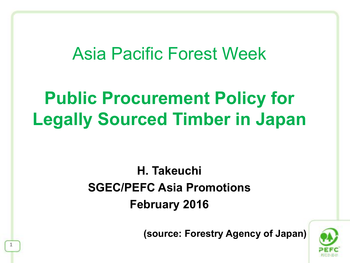## Asia Pacific Forest Week

## **Public Procurement Policy for Legally Sourced Timber in Japan**

### **H. Takeuchi SGEC/PEFC Asia Promotions February 2016**

**(source: Forestry Agency of Japan)**

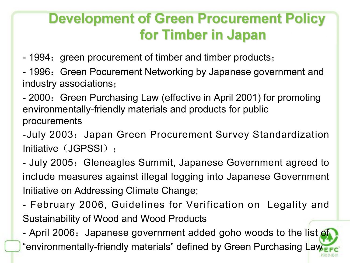## **Development of Green Procurement Policy** for Timber in Japan

- 1994: green procurement of timber and timber products;
- 1996: Green Pocurement Networking by Japanese government and industry associations;
- 2000: Green Purchasing Law (effective in April 2001) for promoting environmentally-friendly materials and products for public procurements
- -July 2003: Japan Green Procurement Survey Standardization Initiative (JGPSSI):
- July 2005: Gleneagles Summit, Japanese Government agreed to include measures against illegal logging into Japanese Government Initiative on Addressing Climate Change;
- February 2006, Guidelines for Verification on Legality and Sustainability of Wood and Wood Products

- April 2006: Japanese government added goho woods to the list of "environmentally-friendly materials" defined by Green Purchasing Law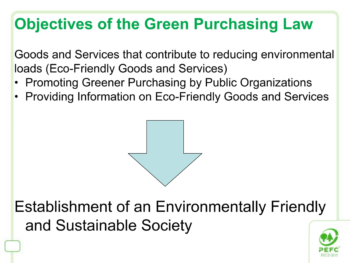## **Objectives of the Green Purchasing Law**

Goods and Services that contribute to reducing environmental loads (Eco-Friendly Goods and Services)

- Promoting Greener Purchasing by Public Organizations
- Providing Information on Eco-Friendly Goods and Services



**Establishment of an Environmentally Friendly** and Sustainable Society

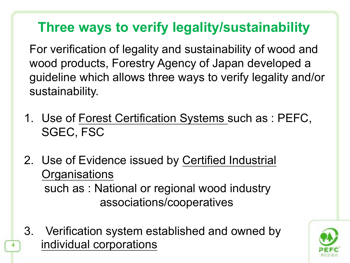## **Three ways to verify legality/sustainability**

For verification of legality and sustainability of wood and wood products, Forestry Agency of Japan developed a guideline which allows three ways to verify legality and/or sustainability.

- 1. Use of Forest Certification Systems such as : PEFC, SGEC, FSC
- 2. Use of Evidence issued by Certified Industrial **Organisations**  such as : National or regional wood industry associations/cooperatives
- **4 individual corporations** 3. Verification system established and owned by

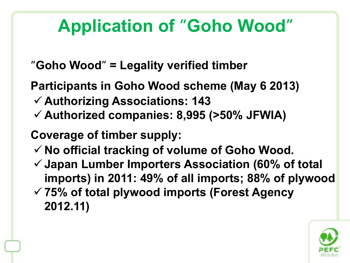## **Application of "Goho Wood"**

- **Goho Wood = Legality verified timber**
- **Participants in Goho Wood scheme (May 6 2013)**
- **Authorizing Associations: 143**
- **Authorized companies: 8,995 (>50% JFWIA)**

 **Coverage of timber supply:** 

**2012.11)** 

- **No official tracking of volume of Goho Wood.**
- **Japan Lumber Importers Association (60% of total imports) in 2011: 49% of all imports; 88% of plywood 75% of total plywood imports (Forest Agency** 
	-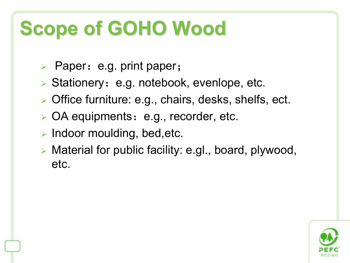# **Scope of GOHO Wood**

- Paper: e.g. print paper;
- $\triangleright$  Stationery: e.g. notebook, evenlope, etc.
- ▶ Office furniture: e.g., chairs, desks, shelfs, ect.
- > OA equipments: e.g., recorder, etc.
- $\triangleright$  Indoor moulding, bed, etc.
- Material for public facility: e.gl., board, plywood, etc.

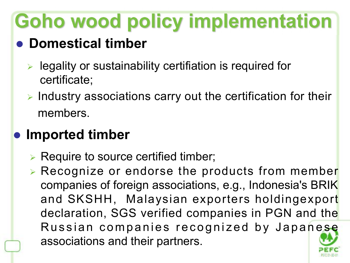# **Goho wood policy implementation**

## **Domestical timber**

- $\triangleright$  legality or sustainability certifiation is required for certificate;
- $\triangleright$  Industry associations carry out the certification for their members.

## $\bullet$  **Imported timber**

- $\triangleright$  Require to source certified timber;
- Recognize or endorse the products from member companies of foreign associations, e.g., Indonesia's BRIK and SKSHH, Malaysian exporters holdingexport declaration, SGS verified companies in PGN and the **Example 32**<br>
Regality or sustainability certifiation is required for<br>
certificate;<br>
ndustry associations carry out the certification for their<br> **nembers.**<br> **ported timber**<br>
Require to source certified timber;<br>
Recognize o associations and their partners.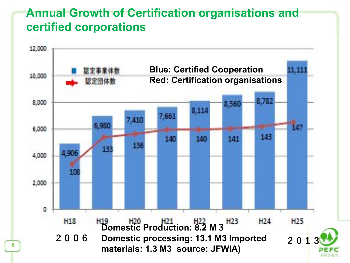#### **Annual Growth of Certification organisations and certified corporations**

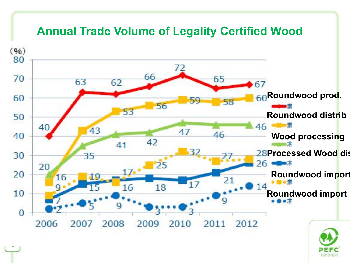#### **Annual Trade Volume of Legality Certified Wood**



**9**

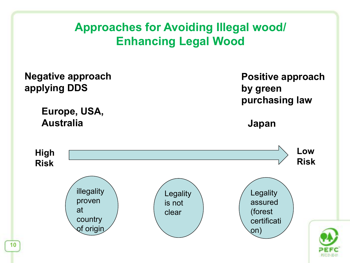### **Approaches for Avoiding Illegal wood/ Enhancing Legal Wood**

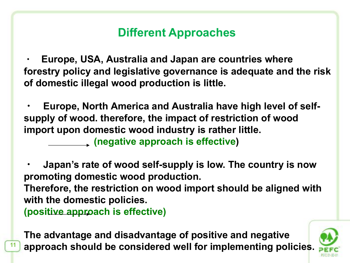### **Different Approaches**

**・ Europe, USA, Australia and Japan are countries where forestry policy and legislative governance is adequate and the risk of domestic illegal wood production is little.**

**・ Europe, North America and Australia have high level of selfsupply of wood. therefore, the impact of restriction of wood import upon domestic wood industry is rather little.**

**(negative approach is effective)**

**・ Japan's rate of wood self-supply is low. The country is now promoting domestic wood production.** 

**Therefore, the restriction on wood import should be aligned with with the domestic policies.** 

**(positive approach is effective)** 

**11 approach should be considered well for implementing policies. The advantage and disadvantage of positive and negative**